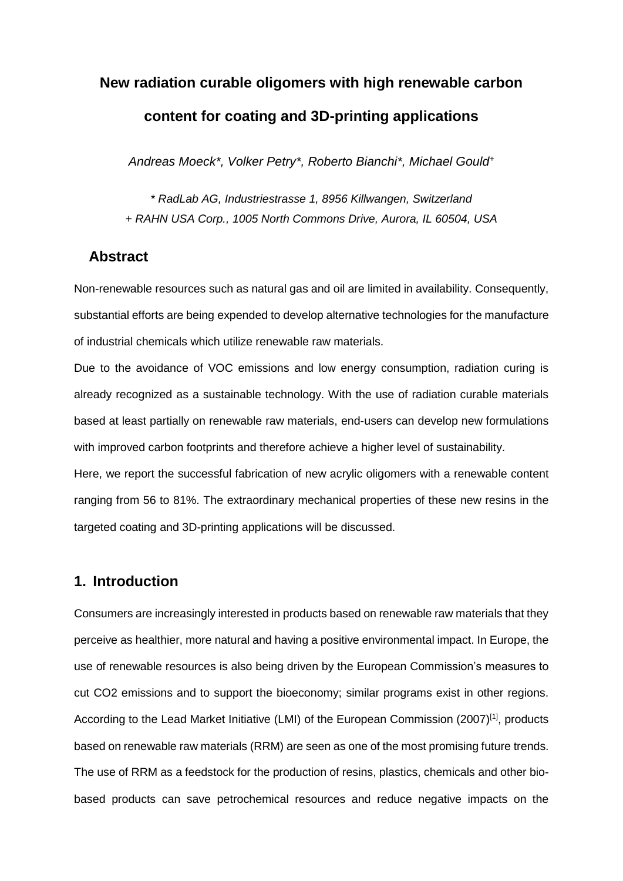# **New radiation curable oligomers with high renewable carbon content for coating and 3D-printing applications**

*Andreas Moeck\*, Volker Petry\*, Roberto Bianchi\*, Michael Gould<sup>+</sup>*

*\* RadLab AG, Industriestrasse 1, 8956 Killwangen, Switzerland + RAHN USA Corp., 1005 North Commons Drive, Aurora, IL 60504, USA*

## **Abstract**

Non-renewable resources such as natural gas and oil are limited in availability. Consequently, substantial efforts are being expended to develop alternative technologies for the manufacture of industrial chemicals which utilize renewable raw materials.

Due to the avoidance of VOC emissions and low energy consumption, radiation curing is already recognized as a sustainable technology. With the use of radiation curable materials based at least partially on renewable raw materials, end-users can develop new formulations with improved carbon footprints and therefore achieve a higher level of sustainability.

Here, we report the successful fabrication of new acrylic oligomers with a renewable content ranging from 56 to 81%. The extraordinary mechanical properties of these new resins in the targeted coating and 3D-printing applications will be discussed.

# **1. Introduction**

Consumers are increasingly interested in products based on renewable raw materials that they perceive as healthier, more natural and having a positive environmental impact. In Europe, the use of renewable resources is also being driven by the European Commission's measures to cut CO2 emissions and to support the bioeconomy; similar programs exist in other regions. According to the Lead Market Initiative (LMI) of the European Commission (2007)<sup>[1]</sup>, products based on renewable raw materials (RRM) are seen as one of the most promising future trends. The use of RRM as a feedstock for the production of resins, plastics, chemicals and other biobased products can save petrochemical resources and reduce negative impacts on the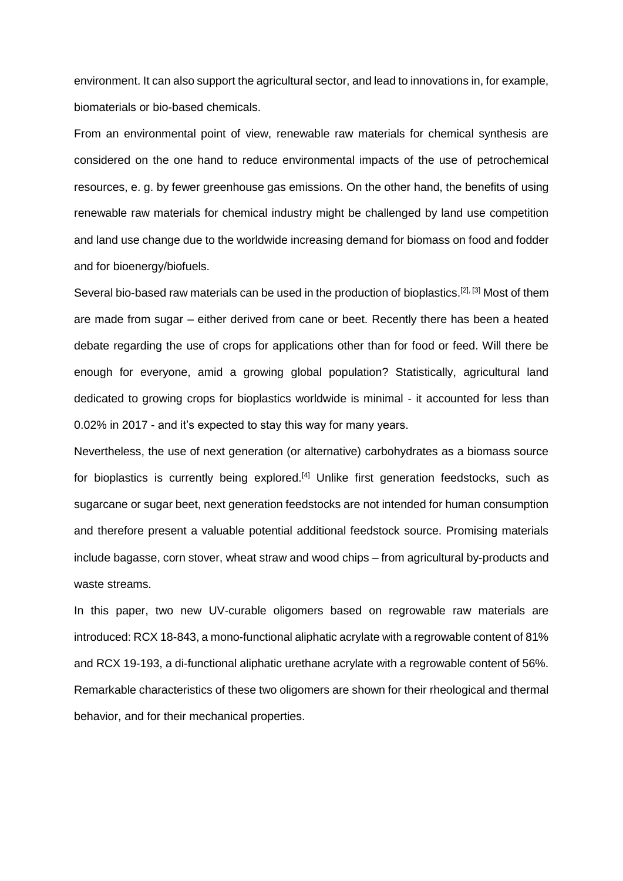environment. It can also support the agricultural sector, and lead to innovations in, for example, biomaterials or bio-based chemicals.

From an environmental point of view, renewable raw materials for chemical synthesis are considered on the one hand to reduce environmental impacts of the use of petrochemical resources, e. g. by fewer greenhouse gas emissions. On the other hand, the benefits of using renewable raw materials for chemical industry might be challenged by land use competition and land use change due to the worldwide increasing demand for biomass on food and fodder and for bioenergy/biofuels.

Several bio-based raw materials can be used in the production of bioplastics.<sup>[2], [3]</sup> Most of them are made from sugar – either derived from cane or beet. Recently there has been a heated debate regarding the use of crops for applications other than for food or feed. Will there be enough for everyone, amid a growing global population? Statistically, agricultural land dedicated to growing crops for bioplastics worldwide is minimal - it accounted for less than 0.02% in 2017 - and it's expected to stay this way for many years.

Nevertheless, the use of next generation (or alternative) carbohydrates as a biomass source for bioplastics is currently being explored.<sup>[4]</sup> Unlike first generation feedstocks, such as sugarcane or sugar beet, next generation feedstocks are not intended for human consumption and therefore present a valuable potential additional feedstock source. Promising materials include bagasse, corn stover, wheat straw and wood chips – from agricultural by-products and waste streams.

In this paper, two new UV-curable oligomers based on regrowable raw materials are introduced: RCX 18-843, a mono-functional aliphatic acrylate with a regrowable content of 81% and RCX 19-193, a di-functional aliphatic urethane acrylate with a regrowable content of 56%. Remarkable characteristics of these two oligomers are shown for their rheological and thermal behavior, and for their mechanical properties.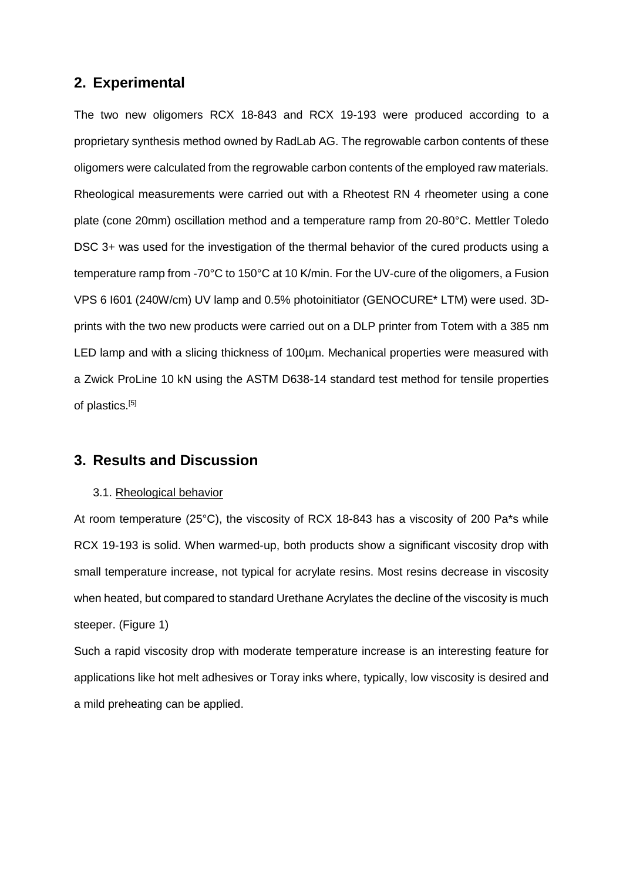# **2. Experimental**

The two new oligomers RCX 18-843 and RCX 19-193 were produced according to a proprietary synthesis method owned by RadLab AG. The regrowable carbon contents of these oligomers were calculated from the regrowable carbon contents of the employed raw materials. Rheological measurements were carried out with a Rheotest RN 4 rheometer using a cone plate (cone 20mm) oscillation method and a temperature ramp from 20-80°C. Mettler Toledo DSC 3+ was used for the investigation of the thermal behavior of the cured products using a temperature ramp from -70°C to 150°C at 10 K/min. For the UV-cure of the oligomers, a Fusion VPS 6 I601 (240W/cm) UV lamp and 0.5% photoinitiator (GENOCURE\* LTM) were used. 3Dprints with the two new products were carried out on a DLP printer from Totem with a 385 nm LED lamp and with a slicing thickness of 100um. Mechanical properties were measured with a Zwick ProLine 10 kN using the ASTM D638-14 standard test method for tensile properties of plastics.<sup>[5]</sup>

## **3. Results and Discussion**

#### 3.1. Rheological behavior

At room temperature (25°C), the viscosity of RCX 18-843 has a viscosity of 200 Pa\*s while RCX 19-193 is solid. When warmed-up, both products show a significant viscosity drop with small temperature increase, not typical for acrylate resins. Most resins decrease in viscosity when heated, but compared to standard Urethane Acrylates the decline of the viscosity is much steeper. (Figure 1)

Such a rapid viscosity drop with moderate temperature increase is an interesting feature for applications like hot melt adhesives or Toray inks where, typically, low viscosity is desired and a mild preheating can be applied.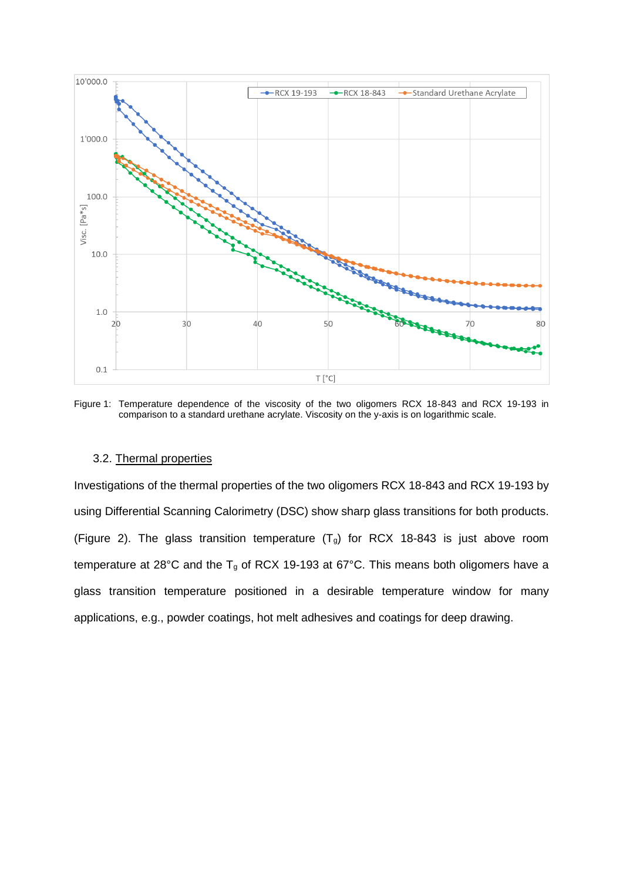

Figure 1: Temperature dependence of the viscosity of the two oligomers RCX 18-843 and RCX 19-193 in comparison to a standard urethane acrylate. Viscosity on the y-axis is on logarithmic scale.

#### 3.2. Thermal properties

Investigations of the thermal properties of the two oligomers RCX 18-843 and RCX 19-193 by using Differential Scanning Calorimetry (DSC) show sharp glass transitions for both products. (Figure 2). The glass transition temperature  $(T<sub>g</sub>)$  for RCX 18-843 is just above room temperature at 28°C and the  $T_g$  of RCX 19-193 at 67°C. This means both oligomers have a glass transition temperature positioned in a desirable temperature window for many applications, e.g., powder coatings, hot melt adhesives and coatings for deep drawing.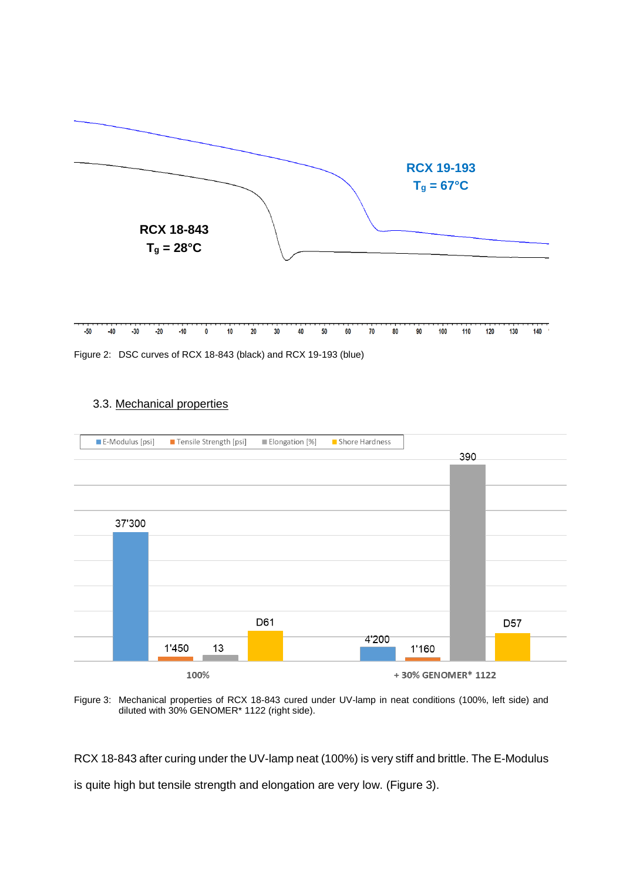

| -50 -40 -30 -20 -10 0 -10 -20 -30 -40 -50 -60 -70 -80 -90 -100 -110 -120 -130 -140 - |  |  |  |  |  |  |  |  |  |  |
|--------------------------------------------------------------------------------------|--|--|--|--|--|--|--|--|--|--|
|                                                                                      |  |  |  |  |  |  |  |  |  |  |

Figure 2: DSC curves of RCX 18-843 (black) and RCX 19-193 (blue)

### 3.3. Mechanical properties



Figure 3: Mechanical properties of RCX 18-843 cured under UV-lamp in neat conditions (100%, left side) and diluted with 30% GENOMER\* 1122 (right side).

RCX 18-843 after curing under the UV-lamp neat (100%) is very stiff and brittle. The E-Modulus is quite high but tensile strength and elongation are very low. (Figure 3).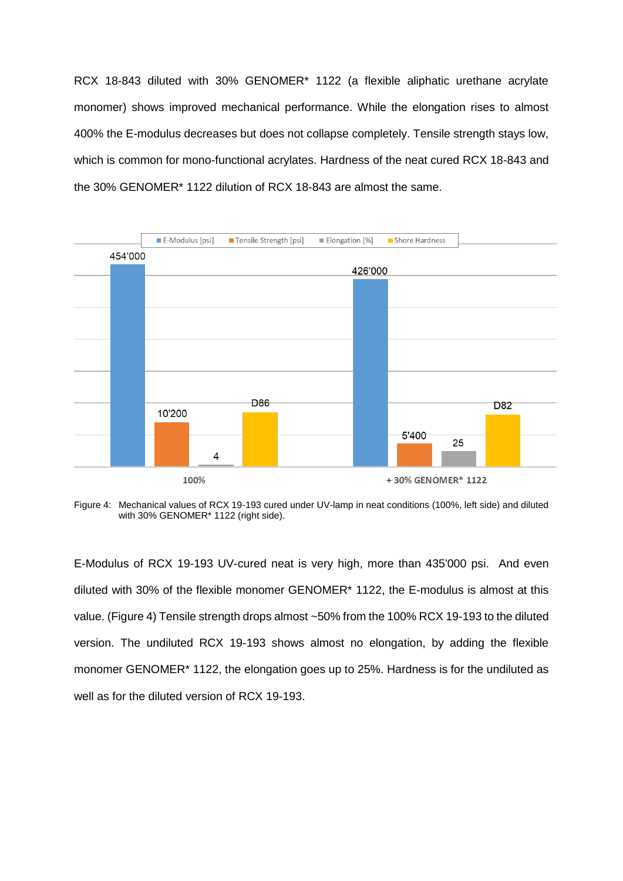RCX 18-843 diluted with 30% GENOMER\* 1122 (a flexible aliphatic urethane acrylate monomer) shows improved mechanical performance. While the elongation rises to almost 400% the E-modulus decreases but does not collapse completely. Tensile strength stays low, which is common for mono-functional acrylates. Hardness of the neat cured RCX 18-843 and the 30% GENOMER\* 1122 dilution of RCX 18-843 are almost the same.



Figure 4: Mechanical values of RCX 19-193 cured under UV-lamp in neat conditions (100%, left side) and diluted with 30% GENOMER\* 1122 (right side).

E-Modulus of RCX 19-193 UV-cured neat is very high, more than 435'000 psi. And even diluted with 30% of the flexible monomer GENOMER\* 1122, the E-modulus is almost at this value. (Figure 4) Tensile strength drops almost ~50% from the 100% RCX 19-193 to the diluted version. The undiluted RCX 19-193 shows almost no elongation, by adding the flexible monomer GENOMER\* 1122, the elongation goes up to 25%. Hardness is for the undiluted as well as for the diluted version of RCX 19-193.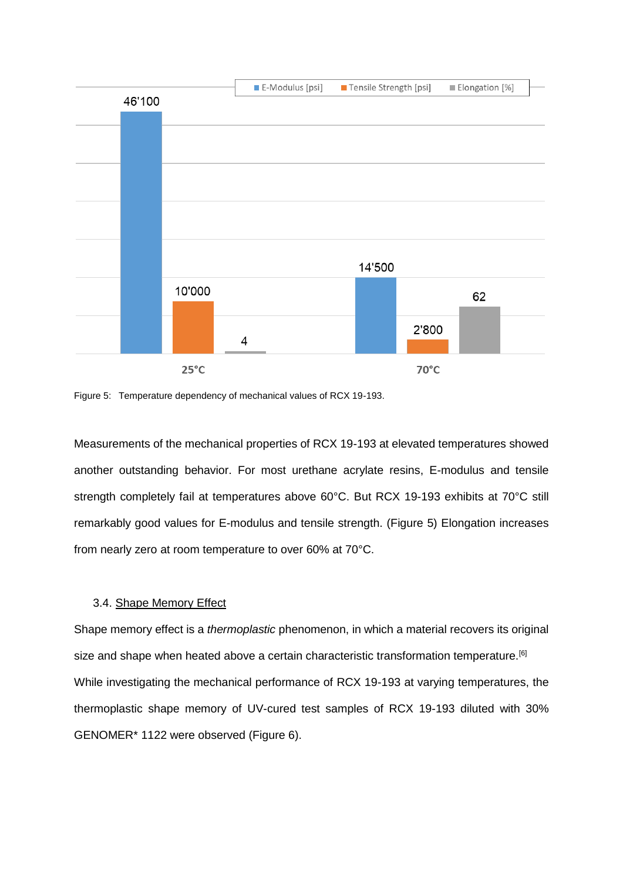

Figure 5: Temperature dependency of mechanical values of RCX 19-193.

Measurements of the mechanical properties of RCX 19-193 at elevated temperatures showed another outstanding behavior. For most urethane acrylate resins, E-modulus and tensile strength completely fail at temperatures above 60°C. But RCX 19-193 exhibits at 70°C still remarkably good values for E-modulus and tensile strength. (Figure 5) Elongation increases from nearly zero at room temperature to over 60% at 70°C.

#### 3.4. Shape Memory Effect

Shape memory effect is a *thermoplastic* phenomenon, in which a material recovers its original size and shape when heated above a certain characteristic transformation temperature.<sup>[6]</sup> While investigating the mechanical performance of RCX 19-193 at varying temperatures, the thermoplastic shape memory of UV-cured test samples of RCX 19-193 diluted with 30% GENOMER\* 1122 were observed (Figure 6).